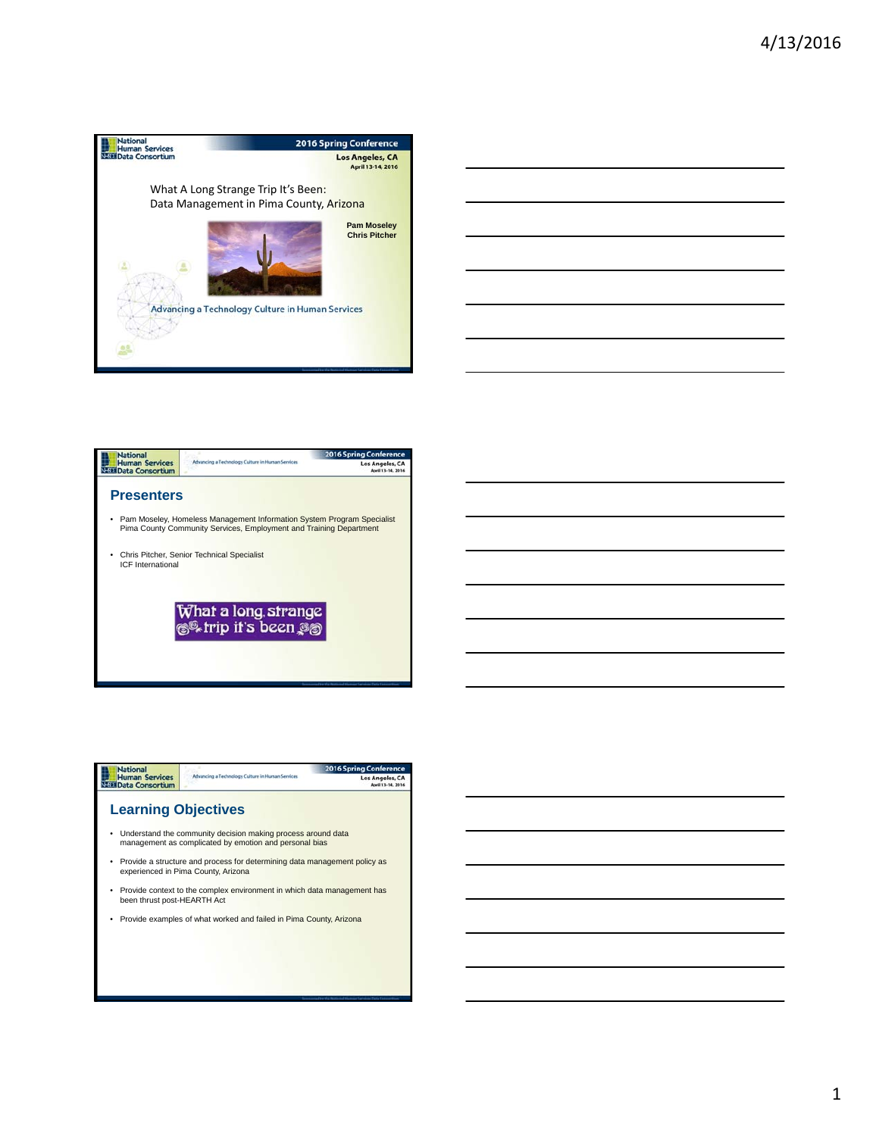





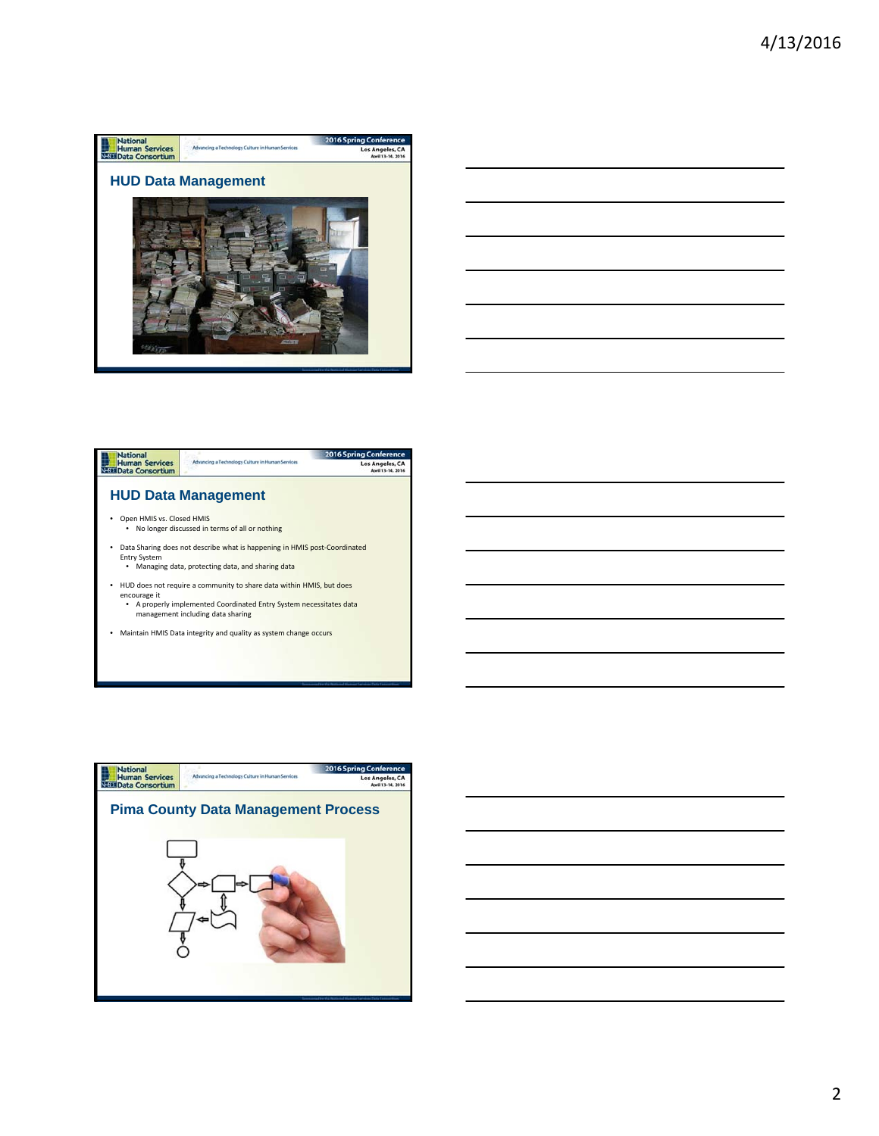





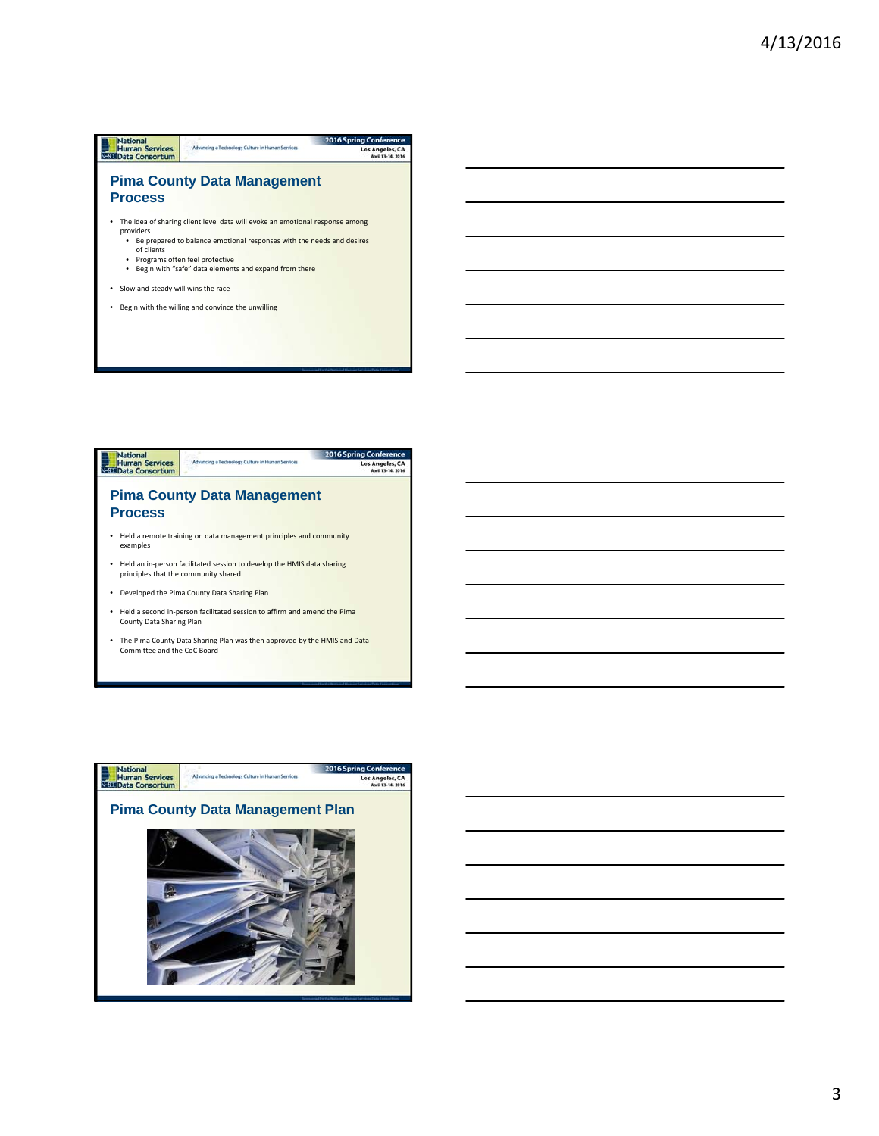



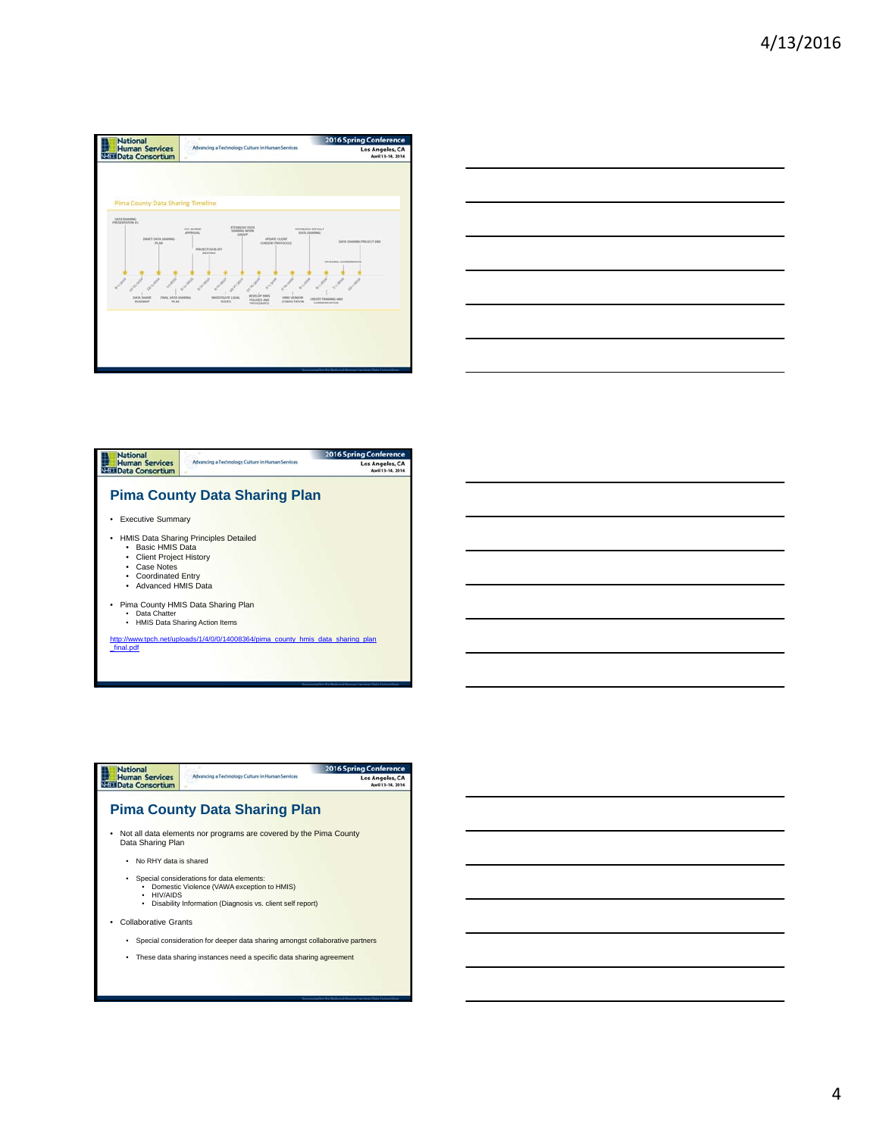





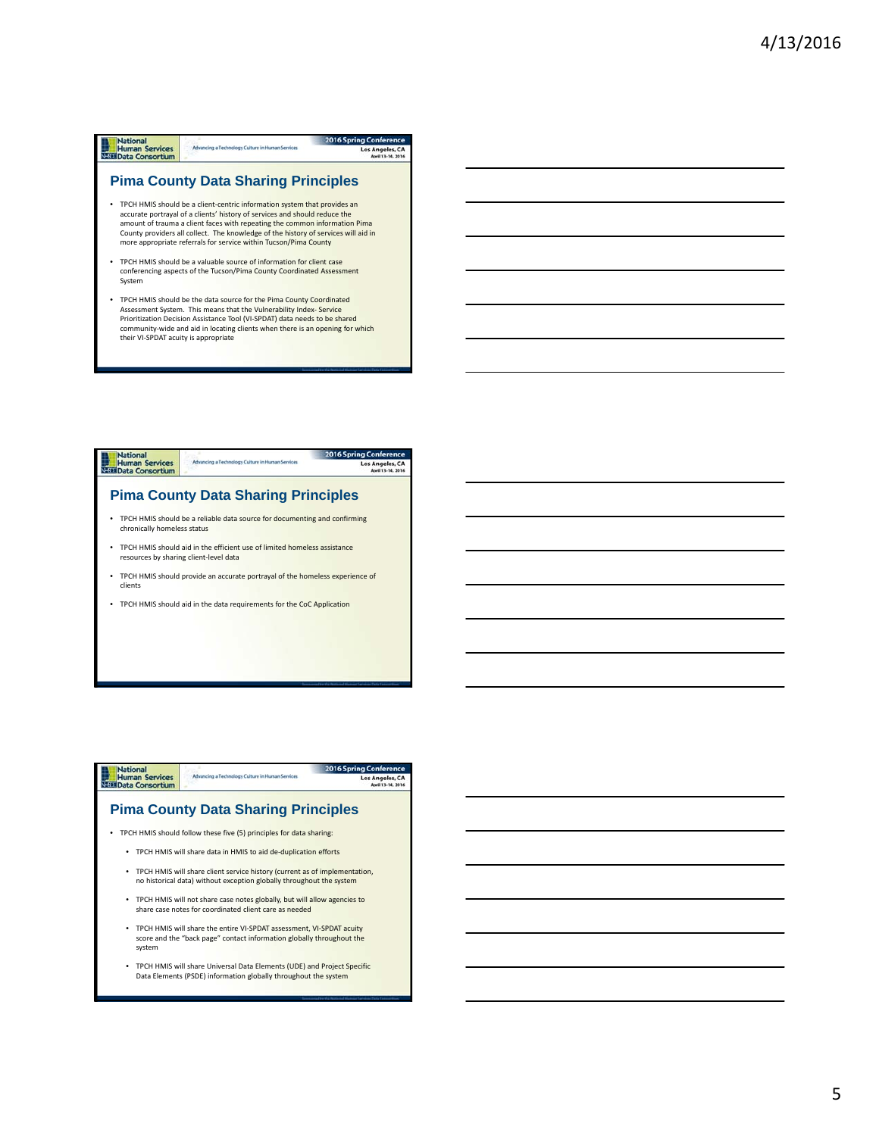



## National<br>Human Services<br>Nata Consortium Advancing a Techn ology Culture in Human Services Los Angeles, CA<br>April 13-14, 2016

016 Spring Co

## **Pima County Data Sharing Principles**

• TPCH HMIS should follow these five (5) principles for data sharing:

- TPCH HMIS will share data in HMIS to aid de-duplication efforts
- TPCH HMIS will share client service history (current as of implementation, no historical data) without exception globally throughout the system
- TPCH HMIS will not share case notes globally, but will allow agencies to share case notes for coordinated client care as needed
- TPCH HMIS will share the entire VI-SPDAT assessment, VI-SPDAT acuity score and the "back page" contact information globally throughout the system
- TPCH HMIS will share Universal Data Elements (UDE) and Project Specific Data Elements (PSDE) information globally throughout the system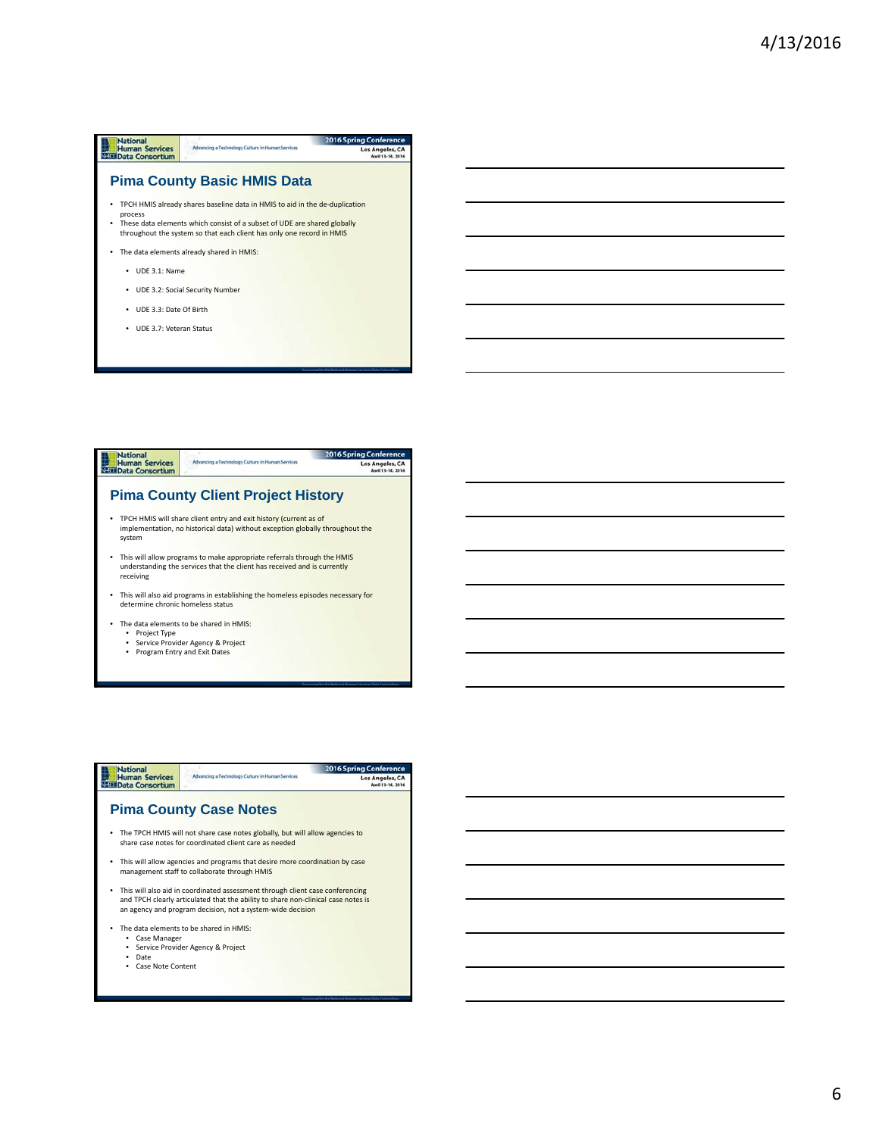| Advancing a Technology Culture in Human Services<br><b>Human Services</b><br>Los Angeles, CA<br><b>Data Consortium</b>                                                                                                                      |
|---------------------------------------------------------------------------------------------------------------------------------------------------------------------------------------------------------------------------------------------|
|                                                                                                                                                                                                                                             |
| <b>Pima County Basic HMIS Data</b>                                                                                                                                                                                                          |
| TPCH HMIS already shares baseline data in HMIS to aid in the de-duplication<br>process<br>These data elements which consist of a subset of UDE are shared globally<br>throughout the system so that each client has only one record in HMIS |
| The data elements already shared in HMIS:                                                                                                                                                                                                   |
| UDE 3.1: Name                                                                                                                                                                                                                               |
| UDE 3.2: Social Security Number                                                                                                                                                                                                             |
| UDF 3.3: Date Of Birth                                                                                                                                                                                                                      |
| <b>UDF 3.7: Veteran Status</b>                                                                                                                                                                                                              |
|                                                                                                                                                                                                                                             |



| Program Entry and Exit Dates |  |
|------------------------------|--|
|                              |  |

| <b>National</b><br><b>Human Services</b><br>Data Consortium | Advancing a Technology Culture in Human Services                                                                                                                                                                                 | <b>2016 Spring Conference</b><br>Los Angeles, CA |
|-------------------------------------------------------------|----------------------------------------------------------------------------------------------------------------------------------------------------------------------------------------------------------------------------------|--------------------------------------------------|
|                                                             | <b>Pima County Case Notes</b>                                                                                                                                                                                                    |                                                  |
|                                                             | The TPCH HMIS will not share case notes globally, but will allow agencies to<br>share case notes for coordinated client care as needed                                                                                           |                                                  |
|                                                             | This will allow agencies and programs that desire more coordination by case<br>management staff to collaborate through HMIS                                                                                                      |                                                  |
| ٠                                                           | This will also aid in coordinated assessment through client case conferencing<br>and TPCH clearly articulated that the ability to share non-clinical case notes is<br>an agency and program decision, not a system-wide decision |                                                  |
| Case Manager<br>٠<br>Date<br>Case Note Content              | The data elements to be shared in HMIS:<br>Service Provider Agency & Project                                                                                                                                                     |                                                  |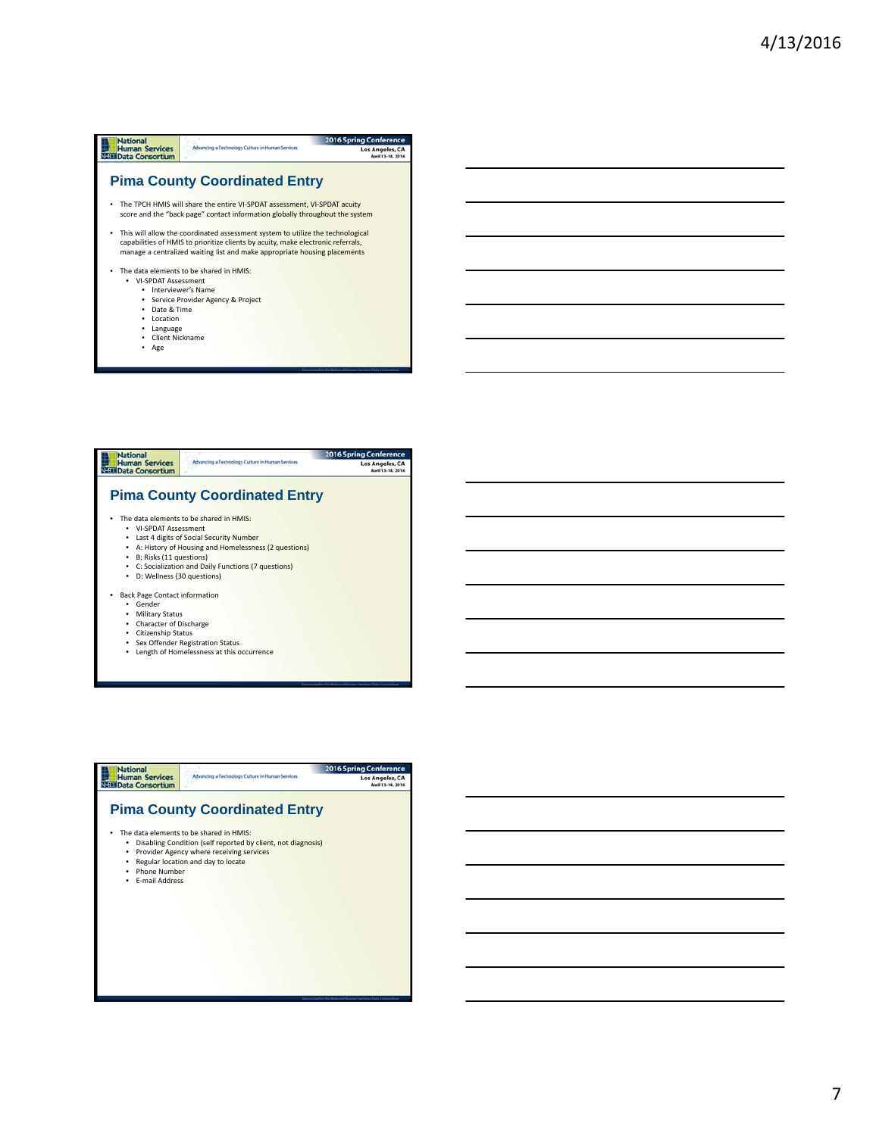| National                                                           |                                                                                                                                                                                                                                                 | <b>2016 Spring Conference</b> |
|--------------------------------------------------------------------|-------------------------------------------------------------------------------------------------------------------------------------------------------------------------------------------------------------------------------------------------|-------------------------------|
| <b>Human Services</b><br><b>Data Consortium</b>                    | Advancing a Technology Culture in Human Services                                                                                                                                                                                                | Los Angeles, CA               |
|                                                                    | <b>Pima County Coordinated Entry</b>                                                                                                                                                                                                            |                               |
|                                                                    | The TPCH HMIS will share the entire VI-SPDAT assessment, VI-SPDAT acuity<br>score and the "back page" contact information globally throughout the system                                                                                        |                               |
|                                                                    | This will allow the coordinated assessment system to utilize the technological<br>capabilities of HMIS to prioritize clients by acuity, make electronic referrals,<br>manage a centralized waiting list and make appropriate housing placements |                               |
| <b>VI-SPDAT Assessment</b><br>$\bullet$<br>Date & Time<br>Location | The data elements to be shared in HMIS:<br>Interviewer's Name<br>Service Provider Agency & Project                                                                                                                                              |                               |
| <b>Language</b>                                                    |                                                                                                                                                                                                                                                 |                               |

- Language Client Nickname
- Age



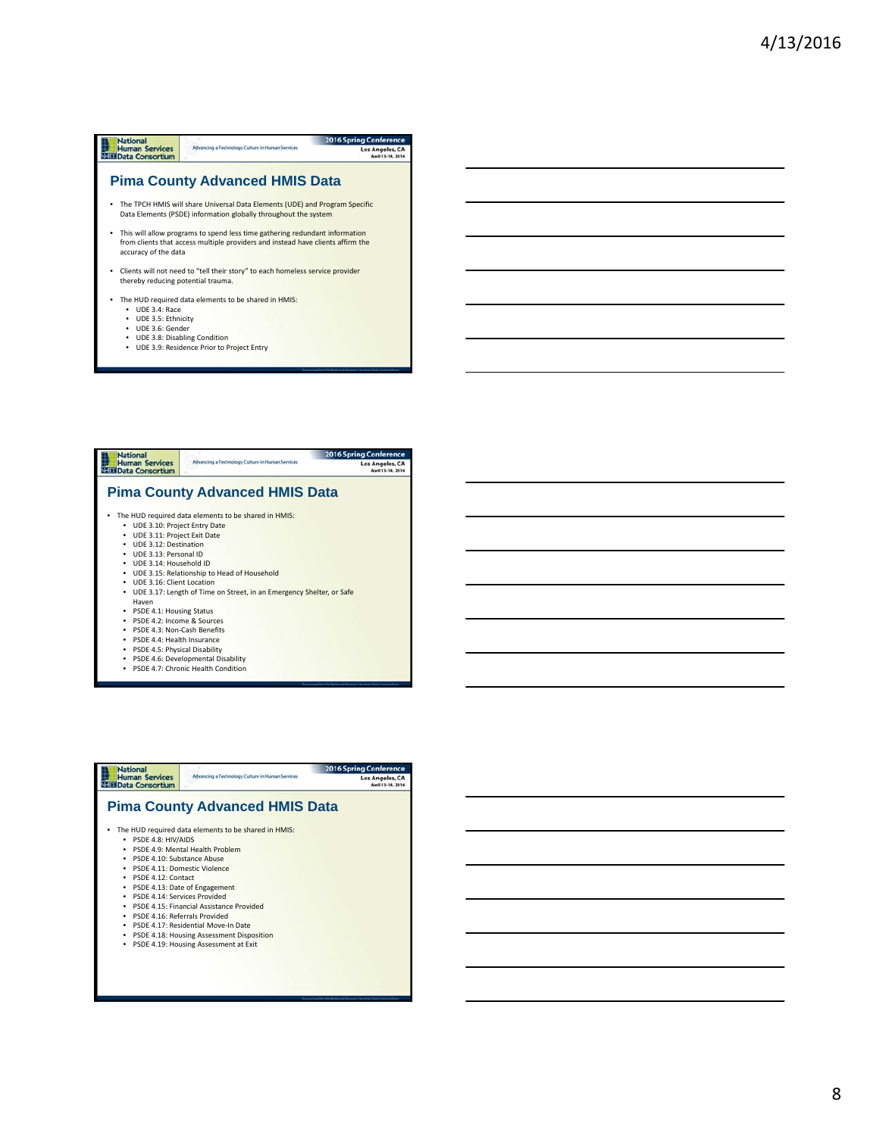| <b>National</b><br><b>Human Services</b><br>Data Consortium | Advancing a Technology Culture in Human Services                                                                                                               | <b>2016 Spring Conference</b><br>Los Angeles, CA |
|-------------------------------------------------------------|----------------------------------------------------------------------------------------------------------------------------------------------------------------|--------------------------------------------------|
|                                                             | <b>Pima County Advanced HMIS Data</b>                                                                                                                          |                                                  |
|                                                             | The TPCH HMIS will share Universal Data Elements (UDE) and Program Specific<br>Data Elements (PSDE) information globally throughout the system                 |                                                  |
| ٠<br>accuracy of the data                                   | This will allow programs to spend less time gathering redundant information<br>from clients that access multiple providers and instead have clients affirm the |                                                  |
| thereby reducing potential trauma.                          | Clients will not need to "tell their story" to each homeless service provider                                                                                  |                                                  |
| UDF 3.4: Race<br>UDE 3.5: Ethnicity<br>٠<br>UDF 3.6: Gender | The HUD required data elements to be shared in HMIS:<br>UDE 3.8: Disabling Condition<br>• UDE 3.9: Residence Prior to Project Entry                            |                                                  |

- 
- 
- 

| <b>National</b><br><b>Human Services</b><br><b>Data Consortium</b> | Advancing a Technology Culture in Human Services                       | <b>2016 Spring Conference</b><br>Los Angeles, CA |
|--------------------------------------------------------------------|------------------------------------------------------------------------|--------------------------------------------------|
|                                                                    | <b>Pima County Advanced HMIS Data</b>                                  |                                                  |
|                                                                    | The HUD required data elements to be shared in HMIS:                   |                                                  |
| • UDE 3.10: Project Entry Date                                     |                                                                        |                                                  |
| • UDE 3.11: Project Exit Date                                      |                                                                        |                                                  |
| • UDF 3.12: Destination                                            |                                                                        |                                                  |
| . UDE 3.13: Personal ID                                            |                                                                        |                                                  |
| · UDF 3.14: Household ID                                           |                                                                        |                                                  |
|                                                                    | • UDE 3.15: Relationship to Head of Household                          |                                                  |
| • UDE 3.16: Client Location                                        |                                                                        |                                                  |
|                                                                    | • UDE 3.17: Length of Time on Street, in an Emergency Shelter, or Safe |                                                  |
| Haven                                                              |                                                                        |                                                  |
| • PSDE 4.1: Housing Status                                         |                                                                        |                                                  |
| · PSDF 4.2: Income & Sources                                       |                                                                        |                                                  |
| • PSDF 4.3: Non-Cash Benefits                                      |                                                                        |                                                  |
| · PSDF 4.4: Health Insurance                                       |                                                                        |                                                  |
| • PSDE 4.5: Physical Disability                                    |                                                                        |                                                  |
|                                                                    | PSDE 4.6: Developmental Disability                                     |                                                  |
|                                                                    | PSDE 4.7: Chronic Health Condition                                     |                                                  |

- 
- 
- **Mational<br>Thuman Services<br>NESSI Data Consortium** 2016 Spring Confer Advancing a Technology Culture in Human Services Los Angeles, CA **Pima County Advanced HMIS Data** • The HUD required data elements to be shared in HMIS: • PSDE 4.8: HIV/AIDS • PSDE 4.9: Mental Health Problem • PSDE 4.10: Substance Abuse • PSDE 4.11: Domestic Violence • PSDE 4.12: Contact • PSDE 4.13: Date of Engagement • PSDE 4.14: Services Provided • PSDE 4.15: Financial Assistance Provided • PSDE 4.16: Referrals Provided<br>• PSDE 4.17: Residential Move-In Date<br>• PSDE 4.18: Housing Assessment at Exit<br>• PSDE 4.19: Housing Assessment at Exit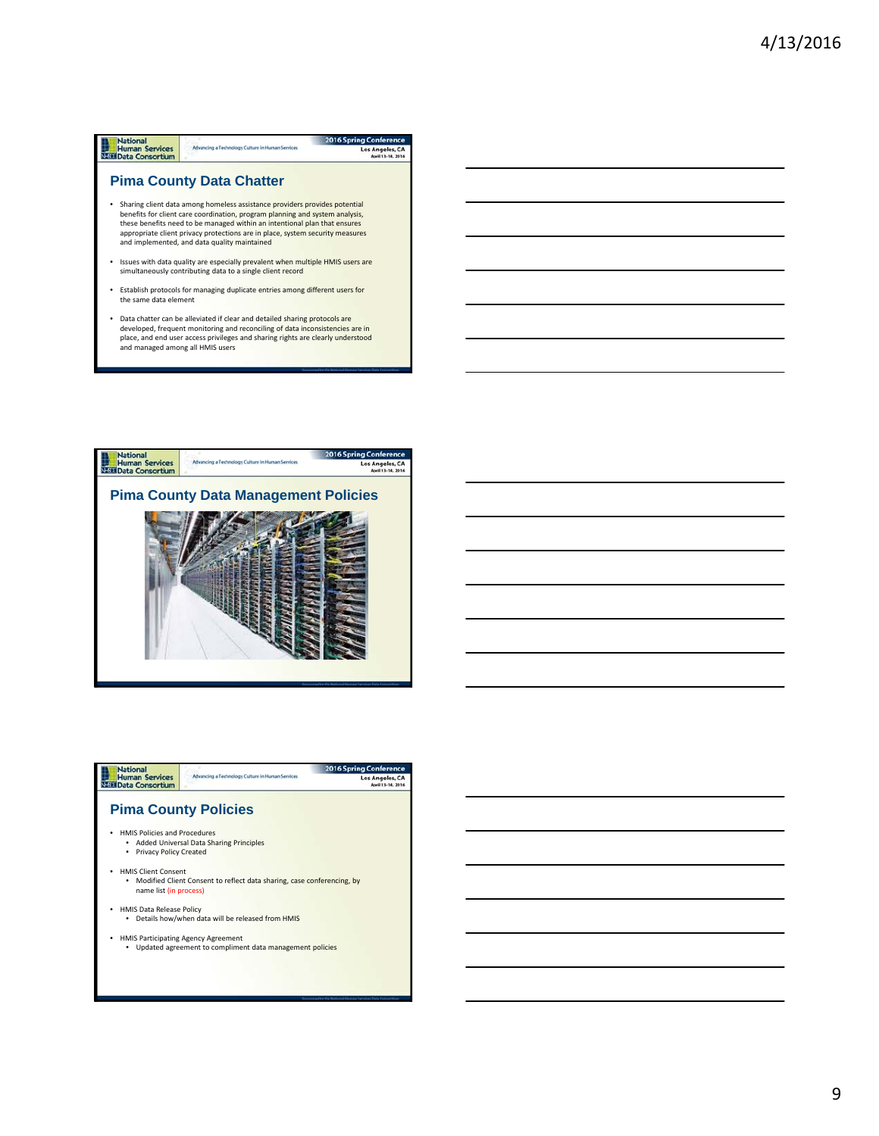| <b>National</b>                                 |                                                                                                                                                                                                                                                                                                                                                                          | <b>2016 Spring Conference</b> |  |
|-------------------------------------------------|--------------------------------------------------------------------------------------------------------------------------------------------------------------------------------------------------------------------------------------------------------------------------------------------------------------------------------------------------------------------------|-------------------------------|--|
| <b>Human Services</b><br><b>Data Consortium</b> | Advancing a Technology Culture in Human Services                                                                                                                                                                                                                                                                                                                         | Los Angeles, CA               |  |
|                                                 | <b>Pima County Data Chatter</b>                                                                                                                                                                                                                                                                                                                                          |                               |  |
|                                                 | Sharing client data among homeless assistance providers provides potential<br>benefits for client care coordination, program planning and system analysis,<br>these benefits need to be managed within an intentional plan that ensures<br>appropriate client privacy protections are in place, system security measures<br>and implemented, and data quality maintained |                               |  |
|                                                 | Issues with data quality are especially prevalent when multiple HMIS users are<br>simultaneously contributing data to a single client record                                                                                                                                                                                                                             |                               |  |
| the same data element                           | Establish protocols for managing duplicate entries among different users for                                                                                                                                                                                                                                                                                             |                               |  |
| and managed among all HMIS users                | Data chatter can be alleviated if clear and detailed sharing protocols are<br>developed, frequent monitoring and reconciling of data inconsistencies are in<br>place, and end user access privileges and sharing rights are clearly understood                                                                                                                           |                               |  |